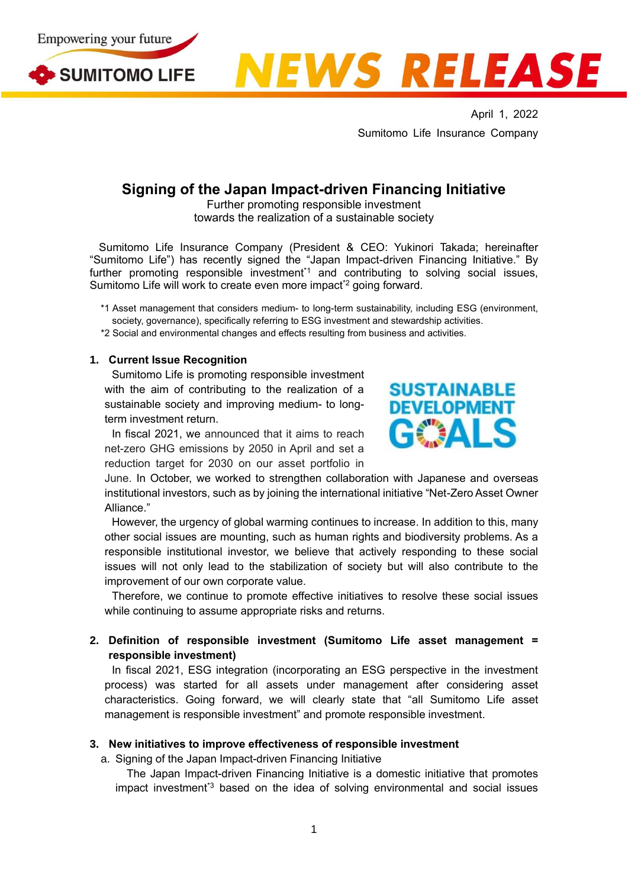





April 1, 2022 Sumitomo Life Insurance Company

# **Signing of the Japan Impact-driven Financing Initiative**

Further promoting responsible investment towards the realization of a sustainable society

Sumitomo Life Insurance Company (President & CEO: Yukinori Takada; hereinafter "Sumitomo Life") has recently signed the "Japan Impact-driven Financing Initiative." By further promoting responsible investment<sup>\*1</sup> and contributing to solving social issues, Sumitomo Life will work to create even more impact<sup>\*2</sup> going forward.

\*1 Asset management that considers medium- to long-term sustainability, including ESG (environment, society, governance), specifically referring to ESG investment and stewardship activities.

\*2 Social and environmental changes and effects resulting from business and activities.

### **1. Current Issue Recognition**

Sumitomo Life is promoting responsible investment with the aim of contributing to the realization of a sustainable society and improving medium- to longterm investment return.

In fiscal 2021, we announced that it aims to reach net-zero GHG emissions by 2050 in April and set a reduction target for 2030 on our asset portfolio in



June. In October, we worked to strengthen collaboration with Japanese and overseas institutional investors, such as by joining the international initiative "Net-Zero Asset Owner Alliance."

However, the urgency of global warming continues to increase. In addition to this, many other social issues are mounting, such as human rights and biodiversity problems. As a responsible institutional investor, we believe that actively responding to these social issues will not only lead to the stabilization of society but will also contribute to the improvement of our own corporate value.

Therefore, we continue to promote effective initiatives to resolve these social issues while continuing to assume appropriate risks and returns.

## **2. Definition of responsible investment (Sumitomo Life asset management = responsible investment)**

In fiscal 2021, ESG integration (incorporating an ESG perspective in the investment process) was started for all assets under management after considering asset characteristics. Going forward, we will clearly state that "all Sumitomo Life asset management is responsible investment" and promote responsible investment.

#### **3. New initiatives to improve effectiveness of responsible investment**

a. Signing of the Japan Impact-driven Financing Initiative

The Japan Impact-driven Financing Initiative is a domestic initiative that promotes impact investment\*3 based on the idea of solving environmental and social issues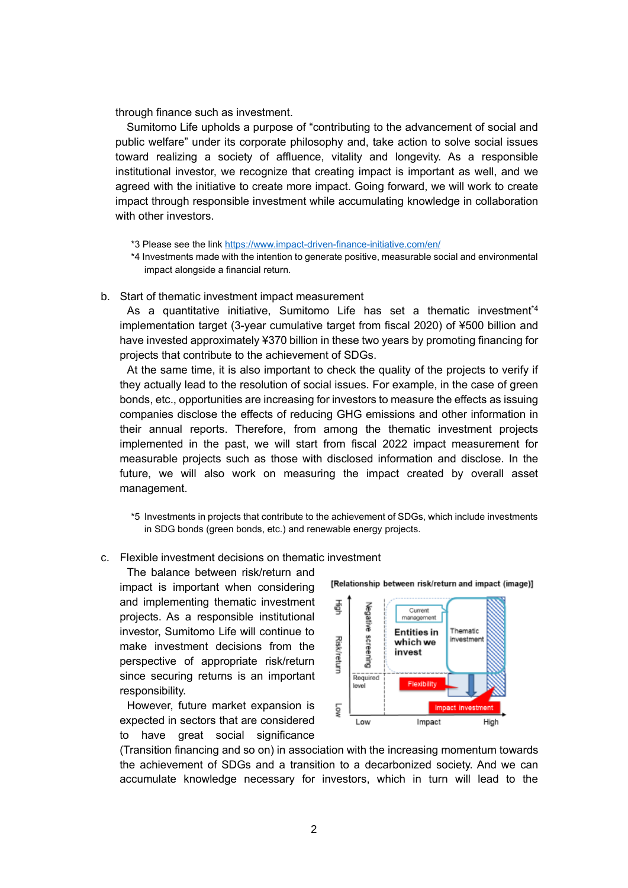through finance such as investment.

Sumitomo Life upholds a purpose of "contributing to the advancement of social and public welfare" under its corporate philosophy and, take action to solve social issues toward realizing a society of affluence, vitality and longevity. As a responsible institutional investor, we recognize that creating impact is important as well, and we agreed with the initiative to create more impact. Going forward, we will work to create impact through responsible investment while accumulating knowledge in collaboration with other investors

- \*3 Please see the link<https://www.impact-driven-finance-initiative.com/en/>
- \*4 Investments made with the intention to generate positive, measurable social and environmental impact alongside a financial return.
- b. Start of thematic investment impact measurement

As a quantitative initiative, Sumitomo Life has set a thematic investment\*4 implementation target (3-year cumulative target from fiscal 2020) of ¥500 billion and have invested approximately ¥370 billion in these two years by promoting financing for projects that contribute to the achievement of SDGs.

At the same time, it is also important to check the quality of the projects to verify if they actually lead to the resolution of social issues. For example, in the case of green bonds, etc., opportunities are increasing for investors to measure the effects as issuing companies disclose the effects of reducing GHG emissions and other information in their annual reports. Therefore, from among the thematic investment projects implemented in the past, we will start from fiscal 2022 impact measurement for measurable projects such as those with disclosed information and disclose. In the future, we will also work on measuring the impact created by overall asset management.

\*5 Investments in projects that contribute to the achievement of SDGs, which include investments in SDG bonds (green bonds, etc.) and renewable energy projects.

c. Flexible investment decisions on thematic investment

The balance between risk/return and impact is important when considering and implementing thematic investment projects. As a responsible institutional investor, Sumitomo Life will continue to make investment decisions from the perspective of appropriate risk/return since securing returns is an important responsibility.

However, future market expansion is expected in sectors that are considered to have great social significance



(Transition financing and so on) in association with the increasing momentum towards the achievement of SDGs and a transition to a decarbonized society. And we can accumulate knowledge necessary for investors, which in turn will lead to the